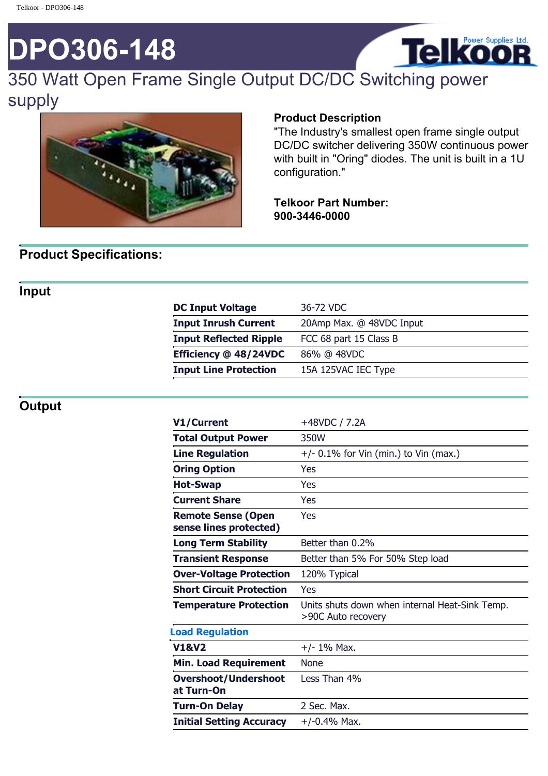# **DPO306-148**



# 350 Watt Open Frame Single Output DC/DC Switching power supply



#### **Product Description**

"The Industry's smallest open frame single output DC/DC switcher delivering 350W continuous power with built in "Oring" diodes. The unit is built in a 1U configuration."

#### **Telkoor Part Number: 900-3446-0000**

# **Product Specifications:**

## **Input**

| <b>DC Input Voltage</b>       | 36-72 VDC                |
|-------------------------------|--------------------------|
| <b>Input Inrush Current</b>   | 20Amp Max. @ 48VDC Input |
| <b>Input Reflected Ripple</b> | FCC 68 part 15 Class B   |
| Efficiency @ 48/24VDC         | 86% @ 48VDC              |
| <b>Input Line Protection</b>  | 15A 125VAC IEC Type      |
|                               |                          |

#### **Output**

| V1/Current                                          | +48VDC / 7.2A                                                        |
|-----------------------------------------------------|----------------------------------------------------------------------|
| <b>Total Output Power</b>                           | 350W                                                                 |
| <b>Line Regulation</b>                              | $+/-$ 0.1% for Vin (min.) to Vin (max.)                              |
| <b>Oring Option</b>                                 | Yes                                                                  |
| <b>Hot-Swap</b>                                     | Yes                                                                  |
| <b>Current Share</b>                                | Yes                                                                  |
| <b>Remote Sense (Open</b><br>sense lines protected) | Yes                                                                  |
| <b>Long Term Stability</b>                          | Better than 0.2%                                                     |
| <b>Transient Response</b>                           | Better than 5% For 50% Step load                                     |
| <b>Over-Voltage Protection</b>                      | 120% Typical                                                         |
| <b>Short Circuit Protection</b>                     | Yes                                                                  |
| <b>Temperature Protection</b>                       | Units shuts down when internal Heat-Sink Temp.<br>>90C Auto recovery |
| <b>Load Regulation</b>                              |                                                                      |
| <b>V1&amp;V2</b>                                    | $+/- 1\%$ Max.                                                       |
| <b>Min. Load Requirement</b>                        | <b>None</b>                                                          |
| <b>Overshoot/Undershoot</b><br>at Turn-On           | Less Than 4%                                                         |
| <b>Turn-On Delay</b>                                | 2 Sec. Max.                                                          |
| <b>Initial Setting Accuracy</b>                     | $+/-0.4%$ Max.                                                       |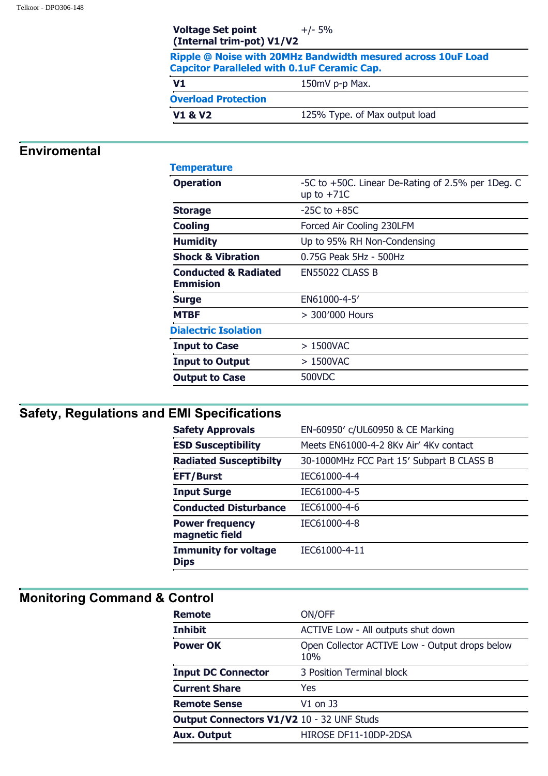|                            | Ripple @ Noise with 20MHz Bandwidth mesured across 10uF Load<br><b>Capcitor Paralleled with 0.1uF Ceramic Cap.</b> |
|----------------------------|--------------------------------------------------------------------------------------------------------------------|
| V1                         | 150mV p-p Max.                                                                                                     |
| <b>Overload Protection</b> |                                                                                                                    |
| <b>V1 &amp; V2</b>         | 125% Type. of Max output load                                                                                      |

### **Enviromental**

| <b>Temperature</b>                                 |                                                                   |
|----------------------------------------------------|-------------------------------------------------------------------|
| <b>Operation</b>                                   | -5C to +50C. Linear De-Rating of 2.5% per 1Deg. C<br>up to $+71C$ |
| <b>Storage</b>                                     | $-25C$ to $+85C$                                                  |
| <b>Cooling</b>                                     | Forced Air Cooling 230LFM                                         |
| <b>Humidity</b>                                    | Up to 95% RH Non-Condensing                                       |
| <b>Shock &amp; Vibration</b>                       | 0.75G Peak 5Hz - 500Hz                                            |
| <b>Conducted &amp; Radiated</b><br><b>Emmision</b> | EN55022 CLASS B                                                   |
| <b>Surge</b>                                       | EN61000-4-5'                                                      |
| <b>MTBF</b>                                        | $>$ 300'000 Hours                                                 |
| <b>Dialectric Isolation</b>                        |                                                                   |
| <b>Input to Case</b>                               | $>1500$ VAC                                                       |
| <b>Input to Output</b>                             | > 1500VAC                                                         |
| <b>Output to Case</b>                              | 500VDC                                                            |
|                                                    |                                                                   |

# **Safety, Regulations and EMI Specifications**

| <b>Safety Approvals</b>                    | EN-60950' c/UL60950 & CE Marking          |
|--------------------------------------------|-------------------------------------------|
| <b>ESD Susceptibility</b>                  | Meets EN61000-4-2 8Kv Air' 4Kv contact    |
| <b>Radiated Susceptibilty</b>              | 30-1000MHz FCC Part 15' Subpart B CLASS B |
| <b>EFT/Burst</b>                           | IEC61000-4-4                              |
| <b>Input Surge</b>                         | IEC61000-4-5                              |
| <b>Conducted Disturbance</b>               | IEC61000-4-6                              |
| <b>Power frequency</b><br>magnetic field   | IEC61000-4-8                              |
| <b>Immunity for voltage</b><br><b>Dips</b> | IEC61000-4-11                             |

# **Monitoring Command & Control**

| <b>Remote</b>                                    | ON/OFF                                                |  |
|--------------------------------------------------|-------------------------------------------------------|--|
| <b>Inhibit</b>                                   | ACTIVE Low - All outputs shut down                    |  |
| <b>Power OK</b>                                  | Open Collector ACTIVE Low - Output drops below<br>10% |  |
| <b>Input DC Connector</b>                        | 3 Position Terminal block                             |  |
| <b>Current Share</b>                             | Yes                                                   |  |
| <b>Remote Sense</b>                              | V1 on J3                                              |  |
| <b>Output Connectors V1/V2 10 - 32 UNF Studs</b> |                                                       |  |
| <b>Aux. Output</b>                               | HIROSE DF11-10DP-2DSA                                 |  |